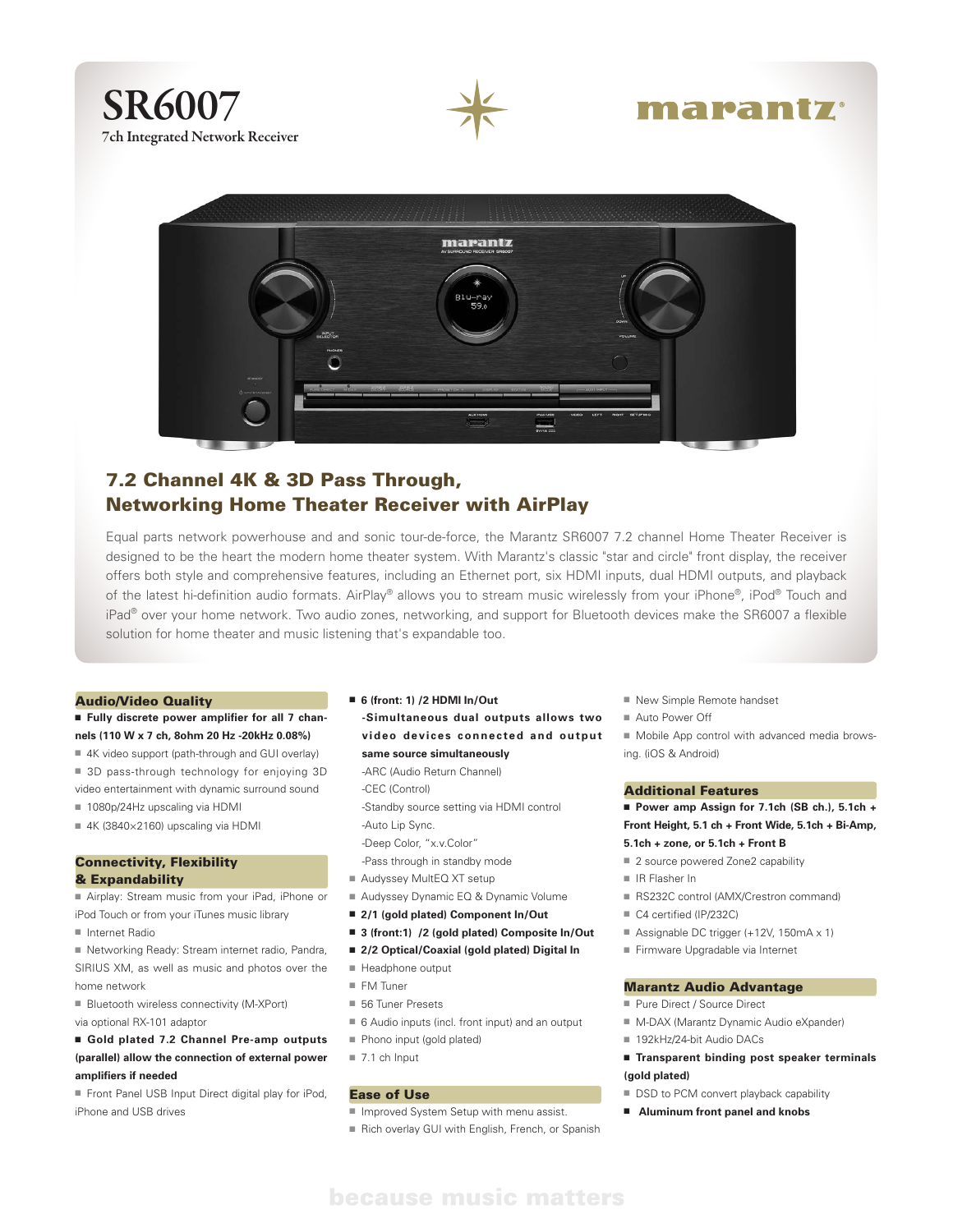

# marantz



# 7.2 Channel 4K & 3D Pass Through, Networking Home Theater Receiver with AirPlay

Equal parts network powerhouse and and sonic tour-de-force, the Marantz SR6007 7.2 channel Home Theater Receiver is designed to be the heart the modern home theater system. With Marantz's classic "star and circle" front display, the receiver offers both style and comprehensive features, including an Ethernet port, six HDMI inputs, dual HDMI outputs, and playback of the latest hi-definition audio formats. AirPlay® allows you to stream music wirelessly from your iPhone®, iPod® Touch and iPad<sup>®</sup> over your home network. Two audio zones, networking, and support for Bluetooth devices make the SR6007 a flexible solution for home theater and music listening that's expandable too.

#### Audio/Video Quality

#### ■ Fully discrete power amplifier for all 7 chan**nels (110 W x 7 ch, 8ohm 20 Hz -20kHz 0.08%)**

- 4K video support (path-through and GUI overlay) ■ 3D pass-through technology for enjoying 3D
- video entertainment with dynamic surround sound
- $1080p/24Hz$  upscaling via HDMI
- $4K$  (3840×2160) upscaling via HDMI

#### Connectivity, Flexibility & Expandability

■ Airplay: Stream music from your iPad, iPhone or iPod Touch or from your iTunes music library

■ Internet Radio

■ Networking Ready: Stream internet radio, Pandra, SIRIUS XM, as well as music and photos over the home network

- $\blacksquare$  Bluetooth wireless connectivity (M-XPort)
- via optional RX-101 adaptor

### ■ Gold plated 7.2 Channel Pre-amp outputs **(parallel) allow the connection of external power amplifiers if needed**

■ Front Panel USB Input Direct digital play for iPod, iPhone and USB drives

## n **6 (front: 1) /2 HDMI In/Out**

**-Simultaneous dual outputs allows two video devices connected and output same source simultaneously** 

-ARC (Audio Return Channel)

-CEC (Control)

- -Standby source setting via HDMI control -Auto Lip Sync.
- -Deep Color, "x.v.Color"
- -Pass through in standby mode
- Audyssey MultEQ XT setup
- Audyssey Dynamic EQ & Dynamic Volume
- 2/1 (gold plated) Component In/Out
- 3 (front:1) /2 (gold plated) Composite In/Out
- 2/2 Optical/Coaxial (gold plated) Digital In
- $H$  Headphone output
- $F M$  Tuner
- $\blacksquare$  56 Tuner Presets
- $\blacksquare$  6 Audio inputs (incl. front input) and an output
- Phono input (gold plated)
- $\equiv$  7.1 ch Input

#### Ease of Use

- Improved System Setup with menu assist.
- Rich overlay GUI with English, French, or Spanish
- n New Simple Remote handset
- Auto Power Off

 $\blacksquare$  Mobile App control with advanced media browsing. (iOS & Android)

#### Additional Features

■ Power amp Assign for 7.1ch (SB ch.), 5.1ch + **Front Height, 5.1 ch + Front Wide, 5.1ch + Bi-Amp, 5.1ch + zone, or 5.1ch + Front B**

- 2 source powered Zone2 capability
- n IR Flasher In
- RS232C control (AMX/Crestron command)
- C4 certified (IP/232C)
- Assignable DC trigger (+12V, 150mA  $\times$  1)
- Firmware Upgradable via Internet

#### Marantz Audio Advantage

- Pure Direct / Source Direct
- M-DAX (Marantz Dynamic Audio eXpander)
- 192kHz/24-bit Audio DACs
- **Transparent binding post speaker terminals (gold plated)**
- DSD to PCM convert playback capability
- Aluminum front panel and knobs